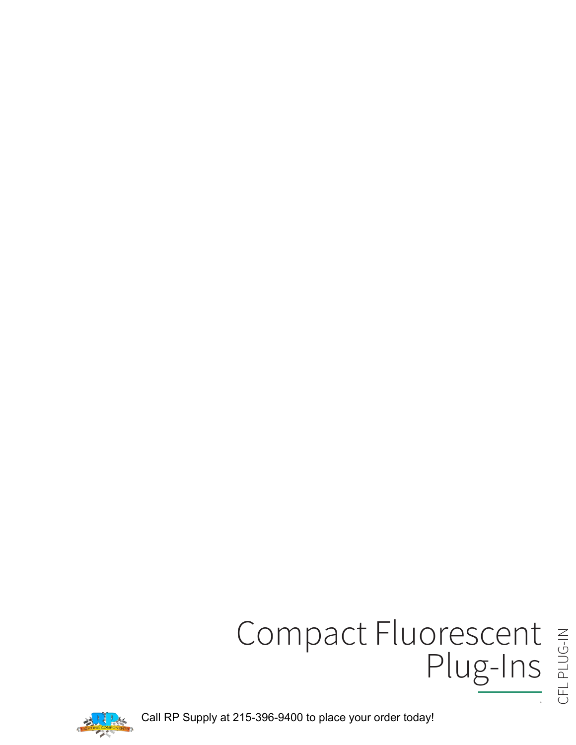# Compact Fluorescent

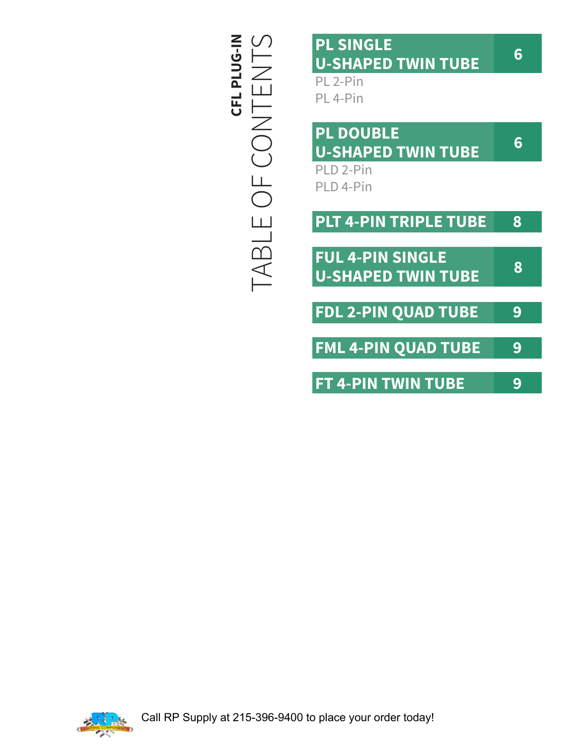TABLE OF CONTENTS **CFL PLUG-IN** TABLE OF CONTENTS

## **PL SINGLE U-SHAPED TWIN TUBE**

PL 2-Pin PL 4-Pin

| <b>PL DOUBLE</b><br><b>U-SHAPED TWIN TUBE</b>        | 6 |
|------------------------------------------------------|---|
| PLD 2-Pin                                            |   |
| PLD 4-Pin                                            |   |
| <b>PLT 4-PIN TRIPLE TUBE</b>                         | 8 |
|                                                      |   |
| <b>FUL 4-PIN SINGLE</b><br><b>U-SHAPED TWIN TUBE</b> | 8 |
|                                                      |   |
| <b>FDL 2-PIN QUAD TUBE</b>                           | 9 |
| <b>FML 4-PIN QUAD TUBE</b>                           |   |
|                                                      |   |

**FT 4-PIN TWIN TUBE 9**

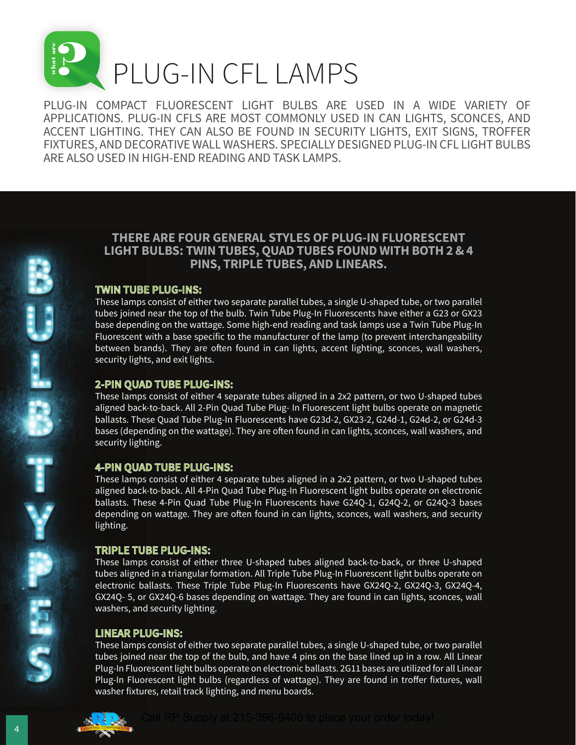

PLUG-IN COMPACT FLUORESCENT LIGHT BULBS ARE USED IN A WIDE VARIETY OF APPLICATIONS. PLUG-IN CFLS ARE MOST COMMONLY USED IN CAN LIGHTS, SCONCES, AND ACCENT LIGHTING. THEY CAN ALSO BE FOUND IN SECURITY LIGHTS, EXIT SIGNS, TROFFER FIXTURES, AND DECORATIVE WALL WASHERS. SPECIALLY DESIGNED PLUG-IN CFL LIGHT BULBS ARE ALSO USED IN HIGH-END READING AND TASK LAMPS.

## **THERE ARE FOUR GENERAL STYLES OF PLUG-IN FLUORESCENT LIGHT BULBS: TWIN TUBES, QUAD TUBES FOUND WITH BOTH 2 & 4 PINS, TRIPLE TUBES, AND LINEARS.**

## **TWIN TUBE PLUG-INS:**

These lamps consist of either two separate parallel tubes, a single U-shaped tube, or two parallel tubes joined near the top of the bulb. Twin Tube Plug-In Fluorescents have either a G23 or GX23 base depending on the wattage. Some high-end reading and task lamps use a Twin Tube Plug-In Fluorescent with a base specific to the manufacturer of the lamp (to prevent interchangeability between brands). They are often found in can lights, accent lighting, sconces, wall washers, security lights, and exit lights.

## **2-PIN QUAD TUBE PLUG-INS:**

These lamps consist of either 4 separate tubes aligned in a 2x2 pattern, or two U-shaped tubes aligned back-to-back. All 2-Pin Quad Tube Plug- In Fluorescent light bulbs operate on magnetic ballasts. These Quad Tube Plug-In Fluorescents have G23d-2, GX23-2, G24d-1, G24d-2, or G24d-3 bases (depending on the wattage). They are often found in can lights, sconces, wall washers, and security lighting.

## **4-PIN QUAD TUBE PLUG-INS:**

These lamps consist of either 4 separate tubes aligned in a 2x2 pattern, or two U-shaped tubes aligned back-to-back. All 4-Pin Quad Tube Plug-In Fluorescent light bulbs operate on electronic ballasts. These 4-Pin Quad Tube Plug-In Fluorescents have G24Q-1, G24Q-2, or G24Q-3 bases depending on wattage. They are often found in can lights, sconces, wall washers, and security lighting.

## **TRIPLE TUBE PLUG-INS:**

These lamps consist of either three U-shaped tubes aligned back-to-back, or three U-shaped tubes aligned in a triangular formation. All Triple Tube Plug-In Fluorescent light bulbs operate on electronic ballasts. These Triple Tube Plug-In Fluorescents have GX24Q-2, GX24Q-3, GX24Q-4, GX24Q- 5, or GX24Q-6 bases depending on wattage. They are found in can lights, sconces, wall washers, and security lighting.

## **LINEAR PLUG-INS:**

These lamps consist of either two separate parallel tubes, a single U-shaped tube, or two parallel tubes joined near the top of the bulb, and have 4 pins on the base lined up in a row. All Linear Plug-In Fluorescent light bulbs operate on electronic ballasts. 2G11 bases are utilized for all Linear Plug-In Fluorescent light bulbs (regardless of wattage). They are found in troffer fixtures, wall washer fixtures, retail track lighting, and menu boards.



U<br>B<br>B

T<br>See Tales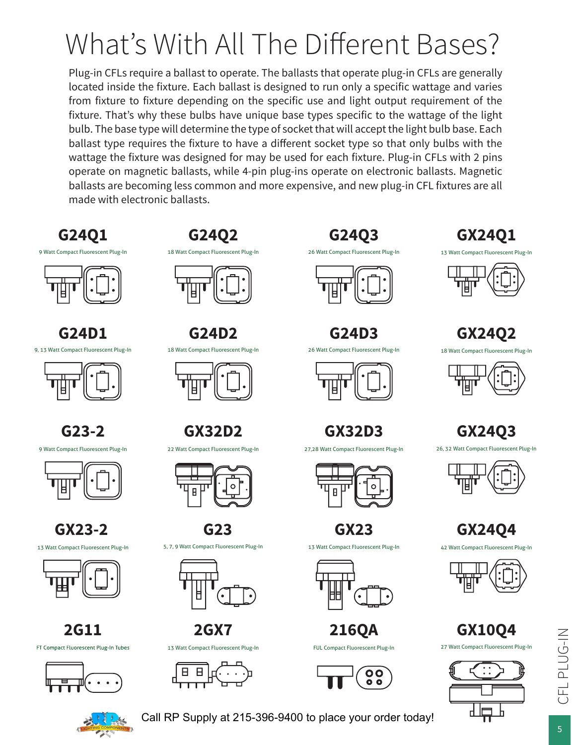# What's With All The Different Bases?

Plug-in CFLs require a ballast to operate. The ballasts that operate plug-in CFLs are generally located inside the fixture. Each ballast is designed to run only a specific wattage and varies from fixture to fixture depending on the specific use and light output requirement of the fixture. That's why these bulbs have unique base types specific to the wattage of the light bulb. The base type will determine the type of socket that will accept the light bulb base. Each ballast type requires the fixture to have a different socket type so that only bulbs with the wattage the fixture was designed for may be used for each fixture. Plug-in CFLs with 2 pins operate on magnetic ballasts, while 4-pin plug-ins operate on electronic ballasts. Magnetic ballasts are becoming less common and more expensive, and new plug-in CFL fixtures are all made with electronic ballasts.





**G24D1** 9, 13 Watt Compact Fluorescent Plug-In



**G23-2** 9 Watt Compact Fluorescent Plug-In



**GX23-2** 13 Watt Compact Fluorescent Plug-In



**2G11** FT Compact Fluorescent Plug-In Tubes



**G24Q2** 18 Watt Compact Fluorescent Plug-In



**G24D2** 18 Watt Compact Fluorescent Plug-In



**GX32D2**

22 Watt Compact Fluorescent Plug-In



**G23** 5, 7, 9 Watt Compact Fluorescent Plug-In



**2GX7** 13 Watt Compact Fluorescent Plug-In







**G24D3**





**GX32D3**

27,28 Watt Compact Fluorescent Plug-In



**GX23** 13 Watt Compact Fluorescent Plug-In



**216QA** FUL Compact Fluorescent Plug-In



# **GX24Q1**





**GX24Q2** 18 Watt Compact Fluorescent Plug-In



**GX24Q3**

26, 32 Watt Compact Fluorescent Plug-In



**GX24Q4**

42 Watt Compact Fluorescent Plug-In



**GX10Q4** 27 Watt Compact Fluorescent Plug-In



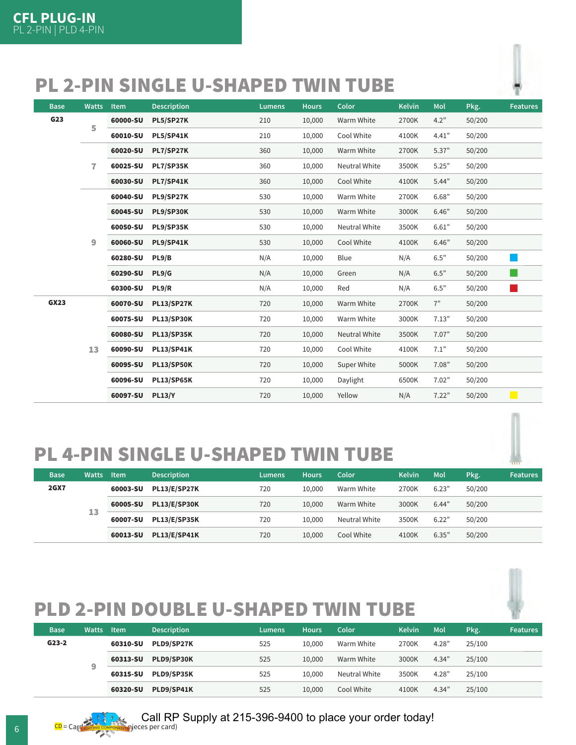# PL 2-PIN SINGLE U-SHAPED TWIN TUBE



| <b>Base</b>     | <b>Watts</b> | Item     | <b>Description</b> | <b>Lumens</b> | <b>Hours</b> | Color                | <b>Kelvin</b> | Mol   | Pkg.   | <b>Features</b>   |
|-----------------|--------------|----------|--------------------|---------------|--------------|----------------------|---------------|-------|--------|-------------------|
| G <sub>23</sub> | 5            | 60000-SU | <b>PL5/SP27K</b>   | 210           | 10,000       | Warm White           | 2700K         | 4.2"  | 50/200 |                   |
|                 |              | 60010-SU | <b>PL5/SP41K</b>   | 210           | 10,000       | Cool White           | 4100K         | 4.41" | 50/200 |                   |
|                 |              | 60020-SU | <b>PL7/SP27K</b>   | 360           | 10,000       | Warm White           | 2700K         | 5.37" | 50/200 |                   |
|                 | 7            | 60025-SU | <b>PL7/SP35K</b>   | 360           | 10,000       | <b>Neutral White</b> | 3500K         | 5.25" | 50/200 |                   |
|                 |              | 60030-SU | <b>PL7/SP41K</b>   | 360           | 10,000       | Cool White           | 4100K         | 5.44" | 50/200 |                   |
|                 |              | 60040-SU | PL9/SP27K          | 530           | 10,000       | Warm White           | 2700K         | 6.68" | 50/200 |                   |
|                 |              | 60045-SU | PL9/SP30K          | 530           | 10,000       | Warm White           | 3000K         | 6.46" | 50/200 |                   |
|                 |              | 60050-SU | PL9/SP35K          | 530           | 10,000       | Neutral White        | 3500K         | 6.61" | 50/200 |                   |
|                 | 9            | 60060-SU | PL9/SP41K          | 530           | 10,000       | Cool White           | 4100K         | 6.46" | 50/200 |                   |
|                 |              | 60280-SU | PL9/B              | N/A           | 10,000       | Blue                 | N/A           | 6.5"  | 50/200 |                   |
|                 |              | 60290-SU | PL9/G              | N/A           | 10,000       | Green                | N/A           | 6.5"  | 50/200 |                   |
|                 |              | 60300-SU | PL9/R              | N/A           | 10,000       | Red                  | N/A           | 6.5"  | 50/200 | L.                |
| <b>GX23</b>     |              | 60070-SU | <b>PL13/SP27K</b>  | 720           | 10,000       | Warm White           | 2700K         | 7"    | 50/200 |                   |
|                 |              | 60075-SU | <b>PL13/SP30K</b>  | 720           | 10,000       | Warm White           | 3000K         | 7.13" | 50/200 |                   |
|                 |              | 60080-SU | <b>PL13/SP35K</b>  | 720           | 10,000       | <b>Neutral White</b> | 3500K         | 7.07" | 50/200 |                   |
|                 | 13           | 60090-SU | <b>PL13/SP41K</b>  | 720           | 10,000       | Cool White           | 4100K         | 7.1"  | 50/200 |                   |
|                 |              | 60095-SU | <b>PL13/SP50K</b>  | 720           | 10,000       | Super White          | 5000K         | 7.08" | 50/200 |                   |
|                 |              | 60096-SU | <b>PL13/SP65K</b>  | 720           | 10,000       | Daylight             | 6500K         | 7.02" | 50/200 |                   |
|                 |              | 60097-SU | <b>PL13/Y</b>      | 720           | 10,000       | Yellow               | N/A           | 7.22" | 50/200 | <b>CONTRACTOR</b> |

# PL 4-PIN SINGLE U-SHAPED TWIN TUBE

| <b>Base</b> | Watts Item |          | <b>Description</b>  | Lumens   | <b>Hours</b>        | Color      | <b>Kelvin</b> | Mol           | Pkg.   | <b>Features</b> |        |  |
|-------------|------------|----------|---------------------|----------|---------------------|------------|---------------|---------------|--------|-----------------|--------|--|
| <b>2GX7</b> |            | 60003-SU | <b>PL13/E/SP27K</b> | 720      | 10,000              | Warm White | 2700K         | 6.23"         | 50/200 |                 |        |  |
|             | 13         | 60005-SU | <b>PL13/E/SP30K</b> | 720      | 10.000              | Warm White | 3000K         | 6.44"         | 50/200 |                 |        |  |
|             |            |          |                     | 60007-SU | <b>PL13/E/SP35K</b> | 720        | 10.000        | Neutral White | 3500K  | 6.22"           | 50/200 |  |
|             |            | 60013-SU | <b>PL13/E/SP41K</b> | 720      | 10.000              | Cool White | 4100K         | 6.35"         | 50/200 |                 |        |  |

# PLD 2-PIN DOUBLE U-SHAPED TWIN TUBE

| <b>Base</b> | Watts | <b>Item</b> | <b>Description</b> | Lumens | <b>Hours</b> | Color      | <b>Kelvin</b> | Mol        | Pkg.   | <b>Features</b> |               |       |       |        |  |
|-------------|-------|-------------|--------------------|--------|--------------|------------|---------------|------------|--------|-----------------|---------------|-------|-------|--------|--|
| $G23-2$     |       | 60310-SU    | PLD9/SP27K         | 525    | 10.000       | Warm White | 2700K         | 4.28"      | 25/100 |                 |               |       |       |        |  |
|             |       | 60313-SU    | PLD9/SP30K         | 525    | 10.000       | Warm White | 3000K         | 4.34"      | 25/100 |                 |               |       |       |        |  |
|             | 9     |             |                    |        |              |            | 60315-SU      | PLD9/SP35K | 525    | 10.000          | Neutral White | 3500K | 4.28" | 25/100 |  |
|             |       | 60320-SU    | PLD9/SP41K         | 525    | 10.000       | Cool White | 4100K         | 4.34"      | 25/100 |                 |               |       |       |        |  |

Call RP Supply at 215-396-9400 to place your order today!

G CD = Card Conference Conserved (BCC) = Card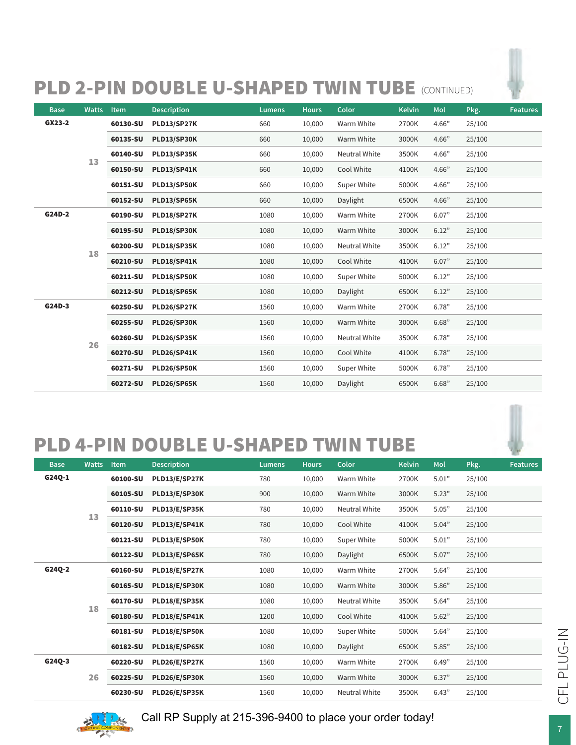# PLD 2-PIN DOUBLE U-SHAPED TWIN TUBE (CONTINUED)

| <b>Base</b> | <b>Watts</b> | <b>Item</b> | <b>Description</b> | <b>Lumens</b> | <b>Hours</b> | Color                | <b>Kelvin</b> | Mol      | Pkg.               | <b>Features</b> |          |             |       |        |          |       |       |        |  |
|-------------|--------------|-------------|--------------------|---------------|--------------|----------------------|---------------|----------|--------------------|-----------------|----------|-------------|-------|--------|----------|-------|-------|--------|--|
| GX23-2      |              | 60130-SU    | PLD13/SP27K        | 660           | 10,000       | Warm White           | 2700K         | 4.66"    | 25/100             |                 |          |             |       |        |          |       |       |        |  |
|             |              | 60135-SU    | PLD13/SP30K        | 660           | 10,000       | Warm White           | 3000K         | 4.66"    | 25/100             |                 |          |             |       |        |          |       |       |        |  |
|             | 13           | 60140-SU    | <b>PLD13/SP35K</b> | 660           | 10,000       | Neutral White        | 3500K         | 4.66"    | 25/100             |                 |          |             |       |        |          |       |       |        |  |
|             |              | 60150-SU    | <b>PLD13/SP41K</b> | 660           | 10,000       | Cool White           | 4100K         | 4.66"    | 25/100             |                 |          |             |       |        |          |       |       |        |  |
|             |              | 60151-SU    | PLD13/SP50K        | 660           | 10,000       | Super White          | 5000K         | 4.66"    | 25/100             |                 |          |             |       |        |          |       |       |        |  |
|             |              | 60152-SU    | PLD13/SP65K        | 660           | 10,000       | Daylight             | 6500K         | 4.66"    | 25/100             |                 |          |             |       |        |          |       |       |        |  |
| G24D-2      |              | 60190-SU    | PLD18/SP27K        | 1080          | 10,000       | Warm White           | 2700K         | 6.07"    | 25/100             |                 |          |             |       |        |          |       |       |        |  |
|             | 18           | 60195-SU    | PLD18/SP30K        | 1080          | 10,000       | Warm White           | 3000K         | 6.12"    | 25/100             |                 |          |             |       |        |          |       |       |        |  |
|             |              | 60200-SU    | PLD18/SP35K        | 1080          | 10,000       | <b>Neutral White</b> | 3500K         | 6.12"    | 25/100             |                 |          |             |       |        |          |       |       |        |  |
|             |              | 60210-SU    | <b>PLD18/SP41K</b> | 1080          | 10,000       | Cool White           | 4100K         | 6.07"    | 25/100             |                 |          |             |       |        |          |       |       |        |  |
|             |              | 60211-SU    | PLD18/SP50K        | 1080          | 10,000       | Super White          | 5000K         | 6.12"    | 25/100             |                 |          |             |       |        |          |       |       |        |  |
|             |              | 60212-SU    | PLD18/SP65K        | 1080          | 10,000       | Daylight             | 6500K         | 6.12"    | 25/100             |                 |          |             |       |        |          |       |       |        |  |
| G24D-3      |              | 60250-SU    | <b>PLD26/SP27K</b> | 1560          | 10,000       | Warm White           | 2700K         | 6.78"    | 25/100             |                 |          |             |       |        |          |       |       |        |  |
|             | 26           |             |                    |               |              |                      |               | 60255-SU | <b>PLD26/SP30K</b> | 1560            | 10,000   | Warm White  | 3000K | 6.68"  | 25/100   |       |       |        |  |
|             |              | 60260-SU    | <b>PLD26/SP35K</b> | 1560          | 10,000       | Neutral White        | 3500K         | 6.78"    | 25/100             |                 |          |             |       |        |          |       |       |        |  |
|             |              | 60270-SU    | <b>PLD26/SP41K</b> | 1560          | 10,000       | Cool White           | 4100K         | 6.78"    | 25/100             |                 |          |             |       |        |          |       |       |        |  |
|             |              | 60271-SU    | PLD26/SP50K        | 1560          | 10,000       | Super White          | 5000K         | 6.78"    | 25/100             |                 |          |             |       |        |          |       |       |        |  |
|             |              |             |                    |               |              |                      |               |          |                    |                 | 60272-SU | PLD26/SP65K | 1560  | 10,000 | Daylight | 6500K | 6.68" | 25/100 |  |

# PLD 4-PIN DOUBLE U-SHAPED TWIN TUBE

| <b>Base</b> | <b>Watts</b> | <b>Item</b> | <b>Description</b> | <b>Lumens</b> | <b>Hours</b> | Color         | <b>Kelvin</b> | Mol           | Pkg.   | <b>Features</b> |             |       |       |        |  |
|-------------|--------------|-------------|--------------------|---------------|--------------|---------------|---------------|---------------|--------|-----------------|-------------|-------|-------|--------|--|
| G24Q-1      |              | 60100-SU    | PLD13/E/SP27K      | 780           | 10,000       | Warm White    | 2700K         | 5.01"         | 25/100 |                 |             |       |       |        |  |
|             |              | 60105-SU    | PLD13/E/SP30K      | 900           | 10,000       | Warm White    | 3000K         | 5.23"         | 25/100 |                 |             |       |       |        |  |
|             |              | 60110-SU    | PLD13/E/SP35K      | 780           | 10,000       | Neutral White | 3500K         | 5.05"         | 25/100 |                 |             |       |       |        |  |
|             | 13           | 60120-SU    | PLD13/E/SP41K      | 780           | 10,000       | Cool White    | 4100K         | 5.04"         | 25/100 |                 |             |       |       |        |  |
|             |              | 60121-SU    | PLD13/E/SP50K      | 780           | 10,000       | Super White   | 5000K         | 5.01"         | 25/100 |                 |             |       |       |        |  |
|             |              | 60122-SU    | PLD13/E/SP65K      | 780           | 10,000       | Daylight      | 6500K         | 5.07"         | 25/100 |                 |             |       |       |        |  |
| G24Q-2      |              | 60160-SU    | PLD18/E/SP27K      | 1080          | 10,000       | Warm White    | 2700K         | 5.64"         | 25/100 |                 |             |       |       |        |  |
|             |              |             | 60165-SU           | PLD18/E/SP30K | 1080         | 10,000        | Warm White    | 3000K         | 5.86"  | 25/100          |             |       |       |        |  |
|             |              | 60170-SU    | PLD18/E/SP35K      | 1080          | 10,000       | Neutral White | 3500K         | 5.64"         | 25/100 |                 |             |       |       |        |  |
|             | 18           | 60180-SU    | PLD18/E/SP41K      | 1200          | 10,000       | Cool White    | 4100K         | 5.62"         | 25/100 |                 |             |       |       |        |  |
|             |              |             |                    |               |              |               | 60181-SU      | PLD18/E/SP50K | 1080   | 10,000          | Super White | 5000K | 5.64" | 25/100 |  |
|             |              |             | 60182-SU           | PLD18/E/SP65K | 1080         | 10,000        | Daylight      | 6500K         | 5.85"  | 25/100          |             |       |       |        |  |
| G24Q-3      |              |             |                    |               |              |               | 60220-SU      | PLD26/E/SP27K | 1560   | 10,000          | Warm White  | 2700K | 6.49" | 25/100 |  |
|             | 26           | 60225-SU    | PLD26/E/SP30K      | 1560          | 10,000       | Warm White    | 3000K         | 6.37"         | 25/100 |                 |             |       |       |        |  |
|             |              | 60230-SU    | PLD26/E/SP35K      | 1560          | 10,000       | Neutral White | 3500K         | 6.43"         | 25/100 |                 |             |       |       |        |  |



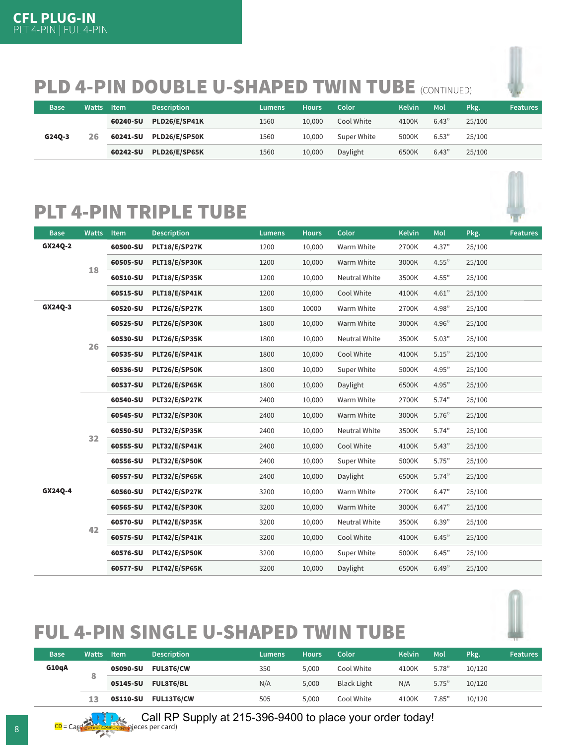# PLD 4-PIN DOUBLE U-SHAPED TWIN TUBE (CONTINUED)

| Base   | Watts | <b>Item</b> | <b>Description</b> | Lumens | <b>Hours</b> | Color       | <b>Kelvin</b> | Mol   | Pkg.   | <b>Features</b> |
|--------|-------|-------------|--------------------|--------|--------------|-------------|---------------|-------|--------|-----------------|
|        |       | 60240-SU    | PLD26/E/SP41K      | 1560   | 10.000       | Cool White  | 4100K         | 6.43" | 25/100 |                 |
| G24Q-3 | 26    | 60241-SU    | PLD26/E/SP50K      | 1560   | 10.000       | Super White | 5000K         | 6.53" | 25/100 |                 |
|        |       | 60242-SU    | PLD26/E/SP65K      | 1560   | 10,000       | Daylight    | 6500K         | 6.43" | 25/100 |                 |

# PLT 4-PIN TRIPLE TUBE





# FUL 4-PIN SINGLE U-SHAPED TWIN TUBE

| <b>Base</b> | Watts | <b>Item</b> | <b>Description</b> | Lumens           | Hours | Color      | <b>Kelvin</b> | Mol   | Pkg.   | <b>Features</b> |  |
|-------------|-------|-------------|--------------------|------------------|-------|------------|---------------|-------|--------|-----------------|--|
| G10qA       |       | 05090-SU    | <b>FUL8T6/CW</b>   | 350              | 5.000 | Cool White | 4100K         | 5.78" | 10/120 |                 |  |
|             | 8     |             | 05145-SU           | <b>FUL8T6/BL</b> | N/A   | 5,000      | Black Light   | N/A   | 5.75"  | 10/120          |  |
|             | 13    | 05110-SU    | <b>FUL13T6/CW</b>  | 505              | 5,000 | Cool White | 4100K         | 7.85" | 10/120 |                 |  |

Call RP Supply at 215-396-9400 to place your order today!

 $\frac{CD}{CD}$  = Cardinal component pieces per card)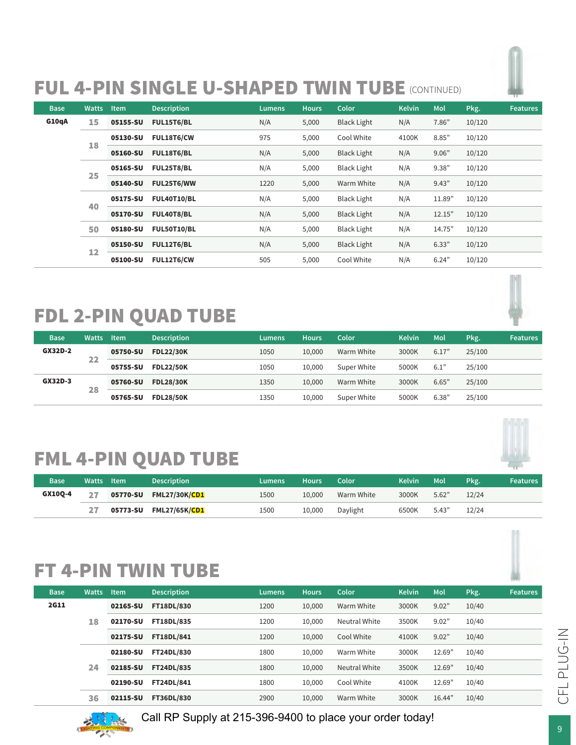# FUL 4-PIN SINGLE U-SHAPED TWIN TUBE (CONTINUED)

| <b>Base</b> | <b>Watts</b> | <b>Item</b> | <b>Description</b> | <b>Lumens</b> | <b>Hours</b>      | Color              | <b>Kelvin</b> | Mol        | Pkg.   | <b>Features</b> |        |
|-------------|--------------|-------------|--------------------|---------------|-------------------|--------------------|---------------|------------|--------|-----------------|--------|
| G10qA       | 15           | 05155-SU    | FUL15T6/BL         | N/A           | 5,000             | <b>Black Light</b> | N/A           | 7.86"      | 10/120 |                 |        |
|             |              | 05130-SU    | FUL18T6/CW         | 975           | 5,000             | Cool White         | 4100K         | 8.85"      | 10/120 |                 |        |
|             | 18           | 05160-SU    | FUL18T6/BL         | N/A           | 5,000             | <b>Black Light</b> | N/A           | 9.06"      | 10/120 |                 |        |
|             | 25           | 05165-SU    | <b>FUL25T8/BL</b>  | N/A           | 5,000             | <b>Black Light</b> | N/A           | 9.38"      | 10/120 |                 |        |
|             |              | 05140-SU    | FUL25T6/WW         | 1220          | 5,000             | Warm White         | N/A           | 9.43"      | 10/120 |                 |        |
|             |              | 05175-SU    | <b>FUL40T10/BL</b> | N/A           | 5,000             | <b>Black Light</b> | N/A           | 11.89"     | 10/120 |                 |        |
|             | 40           | 05170-SU    | FUL40T8/BL         | N/A           | 5,000             | <b>Black Light</b> | N/A           | 12.15"     | 10/120 |                 |        |
|             | 50<br>12     | 05180-SU    | <b>FUL50T10/BL</b> | N/A           | 5,000             | <b>Black Light</b> | N/A           | 14.75"     | 10/120 |                 |        |
|             |              | 05150-SU    | <b>FUL12T6/BL</b>  | N/A           | 5,000             | <b>Black Light</b> | N/A           | 6.33"      | 10/120 |                 |        |
|             |              |             |                    | 05100-SU      | <b>FUL12T6/CW</b> | 505                | 5,000         | Cool White | N/A    | 6.24"           | 10/120 |

# FDL 2-PIN QUAD TUBE



# FML 4-PIN QUAD TUBE

| <b>Base</b> | Watts Item | <b>Description</b>     | Lumens | <b>Hours</b> | Color      | <b>Kelvin</b> | Mol   | Pkg.  | <b>Features</b> |
|-------------|------------|------------------------|--------|--------------|------------|---------------|-------|-------|-----------------|
| GX10Q-4     | 27         | 05770-SU FML27/30K/CD1 | 1500   | 10.000       | Warm White | 3000K         | 5.62" | 12/24 |                 |
|             |            |                        | 1500   | 10,000       | Daylight   | 6500K         | 5.43" | 12/24 |                 |

# FT 4-PIN TWIN TUBE

| <b>Base</b> | <b>Watts</b> | Item     | <b>Description</b> | Lumens | <b>Hours</b> | <b>Color</b>         | <b>Kelvin</b> | Mol    | Pkg.  | <b>Features</b> |
|-------------|--------------|----------|--------------------|--------|--------------|----------------------|---------------|--------|-------|-----------------|
| <b>2G11</b> |              | 02165-SU | <b>FT18DL/830</b>  | 1200   | 10,000       | Warm White           | 3000K         | 9.02"  | 10/40 |                 |
|             | 18           | 02170-SU | <b>FT18DL/835</b>  | 1200   | 10,000       | Neutral White        | 3500K         | 9.02"  | 10/40 |                 |
|             |              | 02175-SU | FT18DL/841         | 1200   | 10,000       | Cool White           | 4100K         | 9.02"  | 10/40 |                 |
|             |              | 02180-SU | <b>FT24DL/830</b>  | 1800   | 10,000       | Warm White           | 3000K         | 12.69" | 10/40 |                 |
|             | 24           | 02185-SU | <b>FT24DL/835</b>  | 1800   | 10,000       | <b>Neutral White</b> | 3500K         | 12.69" | 10/40 |                 |
|             |              | 02190-SU | <b>FT24DL/841</b>  | 1800   | 10,000       | Cool White           | 4100K         | 12.69" | 10/40 |                 |
|             | 36           | 02115-SU | <b>FT36DL/830</b>  | 2900   | 10.000       | Warm White           | 3000K         | 16.44" | 10/40 |                 |